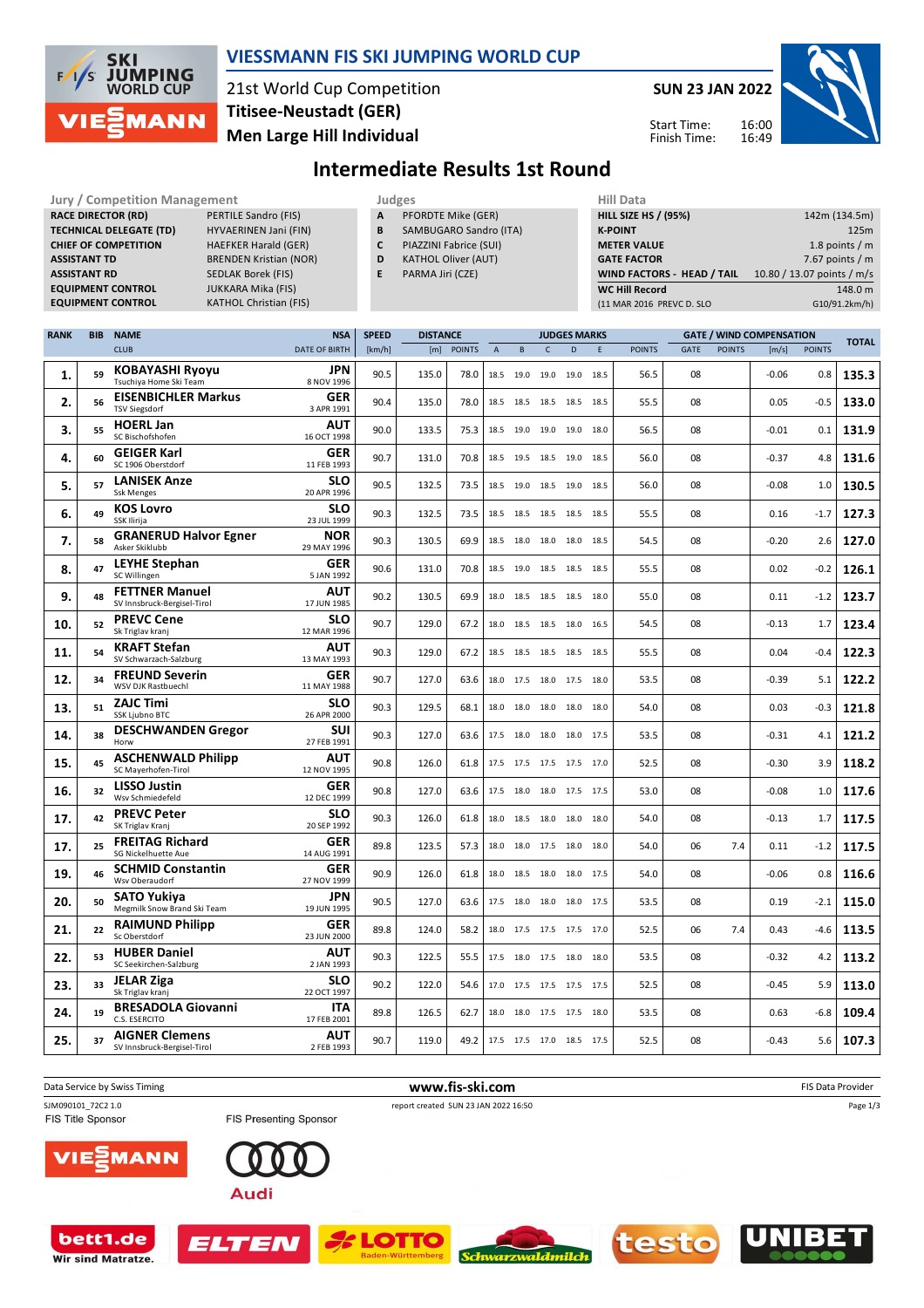

## **VIESSMANN FIS SKI JUMPING WORLD CUP**

21st World Cup Competition **Men Large Hill Individual Titisee-Neustadt (GER)**

**Jury / Competition Management Management According Service Computer Service Computer Service Computer Service Computer Service Computer Service Computer Service Computer Service Computer Service Computer Service Computer** 

**SUN 23 JAN 2022**

16:00 16:49



Start Time: Finish Time:

# **Intermediate Results 1st Round**

| <b>RACE DIRECTOR (RD)</b><br>PERTILE Sandro (FIS)<br><b>TECHNICAL DELEGATE (TD)</b><br>HYVAERINEN Jani (FIN)<br><b>CHIEF OF COMPETITION</b><br><b>HAEFKER Harald (GER)</b><br><b>ASSISTANT TD</b><br><b>BRENDEN Kristian (NOR)</b><br><b>ASSISTANT RD</b><br><b>SEDLAK Borek (FIS)</b><br><b>EQUIPMENT CONTROL</b><br><b>JUKKARA Mika (FIS)</b> |            |                                                      |                               |                           | <b>PFORDTE Mike (GER)</b><br>Α<br>B<br>SAMBUGARO Sandro (ITA)<br>C<br>PIAZZINI Fabrice (SUI)<br>D<br><b>KATHOL Oliver (AUT)</b><br>E<br>PARMA Jiri (CZE) |                        |               |             |                                                    | <b>HILL SIZE HS / (95%)</b><br><b>K-POINT</b><br><b>METER VALUE</b><br><b>GATE FACTOR</b><br>WIND FACTORS - HEAD / TAIL<br><b>WC Hill Record</b> |                          |                                            |               | 142m (134.5m)<br>125m<br>1.8 points $/m$<br>7.67 points $/m$<br>10.80 / 13.07 points / m/s<br>148.0 m |               |                                          |               |              |
|-------------------------------------------------------------------------------------------------------------------------------------------------------------------------------------------------------------------------------------------------------------------------------------------------------------------------------------------------|------------|------------------------------------------------------|-------------------------------|---------------------------|----------------------------------------------------------------------------------------------------------------------------------------------------------|------------------------|---------------|-------------|----------------------------------------------------|--------------------------------------------------------------------------------------------------------------------------------------------------|--------------------------|--------------------------------------------|---------------|-------------------------------------------------------------------------------------------------------|---------------|------------------------------------------|---------------|--------------|
|                                                                                                                                                                                                                                                                                                                                                 |            | <b>EQUIPMENT CONTROL</b>                             | <b>KATHOL Christian (FIS)</b> |                           |                                                                                                                                                          |                        |               |             |                                                    |                                                                                                                                                  |                          | (11 MAR 2016 PREVC D. SLO<br>G10/91.2km/h) |               |                                                                                                       |               |                                          |               |              |
| <b>RANK</b>                                                                                                                                                                                                                                                                                                                                     | <b>BIB</b> | <b>NAME</b><br><b>CLUB</b>                           | <b>DATE OF BIRTH</b>          | <b>NSA</b>                | <b>SPEED</b><br>[km/h]                                                                                                                                   | <b>DISTANCE</b><br>[m] | <b>POINTS</b> | $\mathsf A$ | $\,$ B                                             | $\mathsf{C}$                                                                                                                                     | <b>JUDGES MARKS</b><br>D | E                                          | <b>POINTS</b> | GATE                                                                                                  | <b>POINTS</b> | <b>GATE / WIND COMPENSATION</b><br>[m/s] | <b>POINTS</b> | <b>TOTAL</b> |
| 1.                                                                                                                                                                                                                                                                                                                                              | 59         | <b>KOBAYASHI Ryoyu</b><br>Tsuchiva Home Ski Team     |                               | JPN<br>8 NOV 1996         | 90.5                                                                                                                                                     | 135.0                  | 78.0          | 18.5 19.0   |                                                    | 19.0                                                                                                                                             | 19.0 18.5                |                                            | 56.5          | 08                                                                                                    |               | $-0.06$                                  | 0.8           | 135.3        |
| 2.                                                                                                                                                                                                                                                                                                                                              | 56         | <b>EISENBICHLER Markus</b><br><b>TSV Siegsdorf</b>   |                               | GER<br>3 APR 1991         | 90.4                                                                                                                                                     | 135.0                  | 78.0          | 18.5 18.5   |                                                    |                                                                                                                                                  | 18.5 18.5 18.5           |                                            | 55.5          | 08                                                                                                    |               | 0.05                                     | $-0.5$        | 133.0        |
| 3.                                                                                                                                                                                                                                                                                                                                              | 55         | <b>HOERL Jan</b><br>SC Bischofshofen                 | 16 OCT 1998                   | AUT                       | 90.0                                                                                                                                                     | 133.5                  | 75.3          |             | 18.5 19.0                                          | 19.0                                                                                                                                             | 19.0 18.0                |                                            | 56.5          | 08                                                                                                    |               | $-0.01$                                  | 0.1           | 131.9        |
| 4.                                                                                                                                                                                                                                                                                                                                              | 60         | <b>GEIGER Karl</b><br>SC 1906 Oberstdorf             | 11 FEB 1993                   | GER                       | 90.7                                                                                                                                                     | 131.0                  | 70.8          |             | 18.5 19.5 18.5 19.0 18.5                           |                                                                                                                                                  |                          |                                            | 56.0          | 08                                                                                                    |               | $-0.37$                                  | 4.8           | 131.6        |
| 5.                                                                                                                                                                                                                                                                                                                                              | 57         | <b>LANISEK Anze</b><br><b>Ssk Menges</b>             | 20 APR 1996                   | <b>SLO</b>                | 90.5                                                                                                                                                     | 132.5                  | 73.5          | 18.5 19.0   |                                                    |                                                                                                                                                  | 18.5 19.0 18.5           |                                            | 56.0          | 08                                                                                                    |               | $-0.08$                                  | 1.0           | 130.5        |
| 6.                                                                                                                                                                                                                                                                                                                                              | 49         | <b>KOS Lovro</b><br>SSK Ilirija                      |                               | <b>SLO</b><br>23 JUL 1999 | 90.3                                                                                                                                                     | 132.5                  | 73.5          |             | 18.5 18.5                                          |                                                                                                                                                  | 18.5 18.5 18.5           |                                            | 55.5          | 08                                                                                                    |               | 0.16                                     | $-1.7$        | 127.3        |
| 7.                                                                                                                                                                                                                                                                                                                                              | 58         | <b>GRANERUD Halvor Egner</b><br>Asker Skiklubb       | 29 MAY 1996                   | NOR                       | 90.3                                                                                                                                                     | 130.5                  | 69.9          |             | 18.5 18.0                                          |                                                                                                                                                  | 18.0 18.0 18.5           |                                            | 54.5          | 08                                                                                                    |               | $-0.20$                                  | 2.6           | 127.0        |
| 8.                                                                                                                                                                                                                                                                                                                                              | 47         | LEYHE Stephan<br>SC Willingen                        |                               | GER<br>5 JAN 1992         | 90.6                                                                                                                                                     | 131.0                  | 70.8          |             | 18.5 19.0                                          |                                                                                                                                                  | 18.5 18.5 18.5           |                                            | 55.5          | 08                                                                                                    |               | 0.02                                     | $-0.2$        | 126.1        |
| 9.                                                                                                                                                                                                                                                                                                                                              | 48         | <b>FETTNER Manuel</b><br>SV Innsbruck-Bergisel-Tirol | 17 JUN 1985                   | AUT                       | 90.2                                                                                                                                                     | 130.5                  | 69.9          |             | 18.0 18.5 18.5 18.5 18.0                           |                                                                                                                                                  |                          |                                            | 55.0          | 08                                                                                                    |               | 0.11                                     | $-1.2$        | 123.7        |
| 10.                                                                                                                                                                                                                                                                                                                                             | 52         | <b>PREVC Cene</b><br>Sk Triglav kranj                | 12 MAR 1996                   | <b>SLO</b>                | 90.7                                                                                                                                                     | 129.0                  | 67.2          |             | 18.0 18.5 18.5 18.0 16.5                           |                                                                                                                                                  |                          |                                            | 54.5          | 08                                                                                                    |               | $-0.13$                                  | 1.7           | 123.4        |
| 11.                                                                                                                                                                                                                                                                                                                                             | 54         | <b>KRAFT Stefan</b><br>SV Schwarzach-Salzburg        | 13 MAY 1993                   | AUT                       | 90.3                                                                                                                                                     | 129.0                  | 67.2          |             | 18.5 18.5 18.5 18.5 18.5                           |                                                                                                                                                  |                          |                                            | 55.5          | 08                                                                                                    |               | 0.04                                     | -0.4          | 122.3        |
| 12.                                                                                                                                                                                                                                                                                                                                             | 34         | <b>FREUND Severin</b><br>WSV DJK Rastbuechl          | 11 MAY 1988                   | GER                       | 90.7                                                                                                                                                     | 127.0                  | 63.6          |             | 18.0 17.5 18.0 17.5 18.0                           |                                                                                                                                                  |                          |                                            | 53.5          | 08                                                                                                    |               | $-0.39$                                  | 5.1           | 122.2        |
| 13.                                                                                                                                                                                                                                                                                                                                             | 51         | <b>ZAJC Timi</b><br>SSK Ljubno BTC                   | 26 APR 2000                   | <b>SLO</b>                | 90.3                                                                                                                                                     | 129.5                  | 68.1          |             | 18.0 18.0                                          |                                                                                                                                                  | 18.0 18.0 18.0           |                                            | 54.0          | 08                                                                                                    |               | 0.03                                     | -0.3          | 121.8        |
| 14.                                                                                                                                                                                                                                                                                                                                             | 38         | <b>DESCHWANDEN Gregor</b><br>Horw                    | 27 FEB 1991                   | <b>SUI</b>                | 90.3                                                                                                                                                     | 127.0                  | 63.6          |             | 17.5 18.0 18.0 18.0 17.5                           |                                                                                                                                                  |                          |                                            | 53.5          | 08                                                                                                    |               | $-0.31$                                  | 4.1           | 121.2        |
| 15.                                                                                                                                                                                                                                                                                                                                             | 45         | <b>ASCHENWALD Philipp</b><br>SC Mayerhofen-Tirol     | 12 NOV 1995                   | <b>AUT</b>                | 90.8                                                                                                                                                     | 126.0                  | 61.8          |             | 17.5 17.5 17.5 17.5 17.0                           |                                                                                                                                                  |                          |                                            | 52.5          | 08                                                                                                    |               | $-0.30$                                  | 3.9           | 118.2        |
| 16.                                                                                                                                                                                                                                                                                                                                             | 32         | <b>LISSO Justin</b><br>Wsv Schmiedefeld              | 12 DEC 1999                   | GER                       | 90.8                                                                                                                                                     | 127.0                  | 63.6          |             | 17.5 18.0 18.0 17.5 17.5                           |                                                                                                                                                  |                          |                                            | 53.0          | 08                                                                                                    |               | $-0.08$                                  | 1.0           | 117.6        |
| 17.                                                                                                                                                                                                                                                                                                                                             | 42         | <b>PREVC Peter</b><br>SK Triglav Kranj               | 20 SEP 1992                   | <b>SLO</b>                | 90.3                                                                                                                                                     | 126.0                  | 61.8          |             | 18.0 18.5 18.0 18.0 18.0                           |                                                                                                                                                  |                          |                                            | 54.0          | 08                                                                                                    |               | $-0.13$                                  | 1.7           | 117.5        |
| 17.                                                                                                                                                                                                                                                                                                                                             | 25         | <b>FREITAG Richard</b><br>SG Nickelhuette Aue        | 14 AUG 1991                   | GER                       | 89.8                                                                                                                                                     | 123.5                  | 57.3          |             | 18.0 18.0 17.5 18.0 18.0                           |                                                                                                                                                  |                          |                                            | 54.0          | 06                                                                                                    | 7.4           | 0.11                                     | $-1.2$        | 117.5        |
| 19.                                                                                                                                                                                                                                                                                                                                             | 46         | <b>SCHMID Constantin</b><br>Wsv Oberaudorf           | 27 NOV 1999                   | GER                       | 90.9                                                                                                                                                     | 126.0                  | 61.8          |             | 18.0 18.5 18.0 18.0 17.5                           |                                                                                                                                                  |                          |                                            | 54.0          | 08                                                                                                    |               | $-0.06$                                  | 0.8           | 116.6        |
| 20.                                                                                                                                                                                                                                                                                                                                             | 50         | <b>SATO Yukiya</b><br>Megmilk Snow Brand Ski Team    | 19 JUN 1995                   | <b>JPN</b>                | 90.5                                                                                                                                                     | 127.0                  | 63.6          |             | $17.5 \quad 18.0 \quad 18.0 \quad 18.0 \quad 17.5$ |                                                                                                                                                  |                          |                                            | 53.5          | 08                                                                                                    |               | 0.19                                     | $-2.1$        | 115.0        |
| 21.                                                                                                                                                                                                                                                                                                                                             | 22         | <b>RAIMUND Philipp</b><br>Sc Oberstdorf              | 23 JUN 2000                   | GER                       | 89.8                                                                                                                                                     | 124.0                  | 58.2          |             | 18.0 17.5 17.5 17.5 17.0                           |                                                                                                                                                  |                          |                                            | 52.5          | 06                                                                                                    | 7.4           | 0.43                                     | -4.6          | 113.5        |
| 22.                                                                                                                                                                                                                                                                                                                                             | 53         | <b>HUBER Daniel</b><br>SC Seekirchen-Salzburg        |                               | AUT<br>2 JAN 1993         | 90.3                                                                                                                                                     | 122.5                  | 55.5          |             | 17.5 18.0 17.5 18.0 18.0                           |                                                                                                                                                  |                          |                                            | 53.5          | 08                                                                                                    |               | $-0.32$                                  | 4.2           | 113.2        |
| 23.                                                                                                                                                                                                                                                                                                                                             | 33         | <b>JELAR Ziga</b><br>Sk Triglav kranj                | 22 OCT 1997                   | <b>SLO</b>                | 90.2                                                                                                                                                     | 122.0                  | 54.6          |             | 17.0 17.5 17.5 17.5 17.5                           |                                                                                                                                                  |                          |                                            | 52.5          | 08                                                                                                    |               | $-0.45$                                  | 5.9           | 113.0        |
| 24.                                                                                                                                                                                                                                                                                                                                             | 19         | <b>BRESADOLA Giovanni</b><br>C.S. ESERCITO           | 17 FEB 2001                   | ITA                       | 89.8                                                                                                                                                     | 126.5                  | 62.7          |             | 18.0 18.0 17.5 17.5 18.0                           |                                                                                                                                                  |                          |                                            | 53.5          | 08                                                                                                    |               | 0.63                                     | -6.8          | 109.4        |
| 25.                                                                                                                                                                                                                                                                                                                                             | 37         | <b>AIGNER Clemens</b><br>SV Innsbruck-Bergisel-Tirol |                               | AUT<br>2 FEB 1993         | 90.7                                                                                                                                                     | 119.0                  | 49.2          |             | 17.5 17.5 17.0 18.5 17.5                           |                                                                                                                                                  |                          |                                            | 52.5          | 08                                                                                                    |               | $-0.43$                                  | 5.6           | 107.3        |

**Data Service by Swiss Timing** FIS Data Provider SJM090101\_72C2 1.0 report created SUN 23 JAN 2022 16:50<br>
FIS Title Sponsor FIS Presenting Sponsor Page 1/3**MANN Audi** 









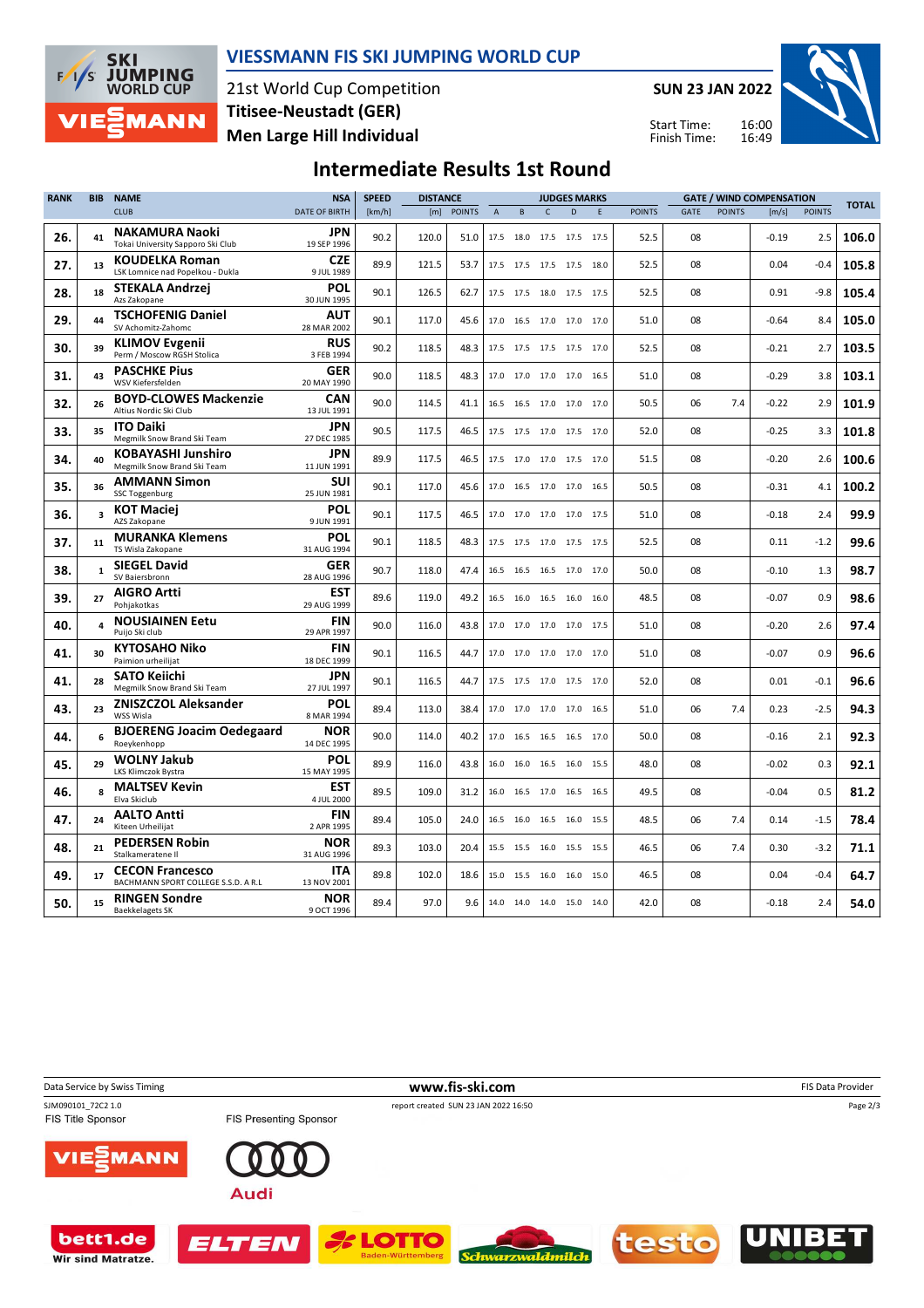

## **VIESSMANN FIS SKI JUMPING WORLD CUP**

21st World Cup Competition **Men Large Hill Individual Titisee-Neustadt (GER)**

**SUN 23 JAN 2022**





## **Intermediate Results 1st Round**

| <b>RANK</b> | <b>BIB</b>              | <b>NAME</b><br><b>SPEED</b><br><b>DISTANCE</b><br><b>JUDGES MARKS</b><br><b>NSA</b> |                           |        |       |               | <b>GATE / WIND COMPENSATION</b> |           |              |                              | <b>TOTAL</b> |               |      |               |         |               |       |
|-------------|-------------------------|-------------------------------------------------------------------------------------|---------------------------|--------|-------|---------------|---------------------------------|-----------|--------------|------------------------------|--------------|---------------|------|---------------|---------|---------------|-------|
|             |                         | <b>CLUB</b>                                                                         | <b>DATE OF BIRTH</b>      | [km/h] | [m]   | <b>POINTS</b> | $\boldsymbol{\mathsf{A}}$       | B         | $\mathsf{C}$ | D                            | E            | <b>POINTS</b> | GATE | <b>POINTS</b> | [m/s]   | <b>POINTS</b> |       |
| 26.         | 41                      | <b>NAKAMURA Naoki</b><br>Tokai University Sapporo Ski Club                          | JPN<br>19 SEP 1996        | 90.2   | 120.0 | 51.0          |                                 | 17.5 18.0 |              | 17.5 17.5 17.5               |              | 52.5          | 08   |               | $-0.19$ | 2.5           | 106.0 |
| 27.         | 13                      | <b>KOUDELKA Roman</b><br>LSK Lomnice nad Popelkou - Dukla                           | <b>CZE</b><br>9 JUL 1989  | 89.9   | 121.5 | 53.7          |                                 |           |              | 17.5 17.5 17.5 17.5 18.0     |              | 52.5          | 08   |               | 0.04    | $-0.4$        | 105.8 |
| 28.         | 18                      | <b>STEKALA Andrzej</b><br>Azs Zakopane                                              | <b>POL</b><br>30 JUN 1995 | 90.1   | 126.5 | 62.7          |                                 |           |              | 17.5 17.5 18.0 17.5 17.5     |              | 52.5          | 08   |               | 0.91    | $-9.8$        | 105.4 |
| 29.         | 44                      | <b>TSCHOFENIG Daniel</b><br>SV Achomitz-Zahomc                                      | <b>AUT</b><br>28 MAR 2002 | 90.1   | 117.0 | 45.6          |                                 | 17.0 16.5 |              | 17.0 17.0 17.0               |              | 51.0          | 08   |               | $-0.64$ | 8.4           | 105.0 |
| 30.         | 39                      | <b>KLIMOV Evgenii</b><br>Perm / Moscow RGSH Stolica                                 | <b>RUS</b><br>3 FEB 1994  | 90.2   | 118.5 | 48.3          |                                 |           |              | 17.5 17.5 17.5 17.5 17.0     |              | 52.5          | 08   |               | $-0.21$ | 2.7           | 103.5 |
| 31.         | 43                      | <b>PASCHKE Pius</b><br>WSV Kiefersfelden                                            | <b>GER</b><br>20 MAY 1990 | 90.0   | 118.5 | 48.3          |                                 | 17.0 17.0 |              | 17.0 17.0 16.5               |              | 51.0          | 08   |               | $-0.29$ | 3.8           | 103.1 |
| 32.         | 26                      | <b>BOYD-CLOWES Mackenzie</b><br>Altius Nordic Ski Club                              | <b>CAN</b><br>13 JUL 1991 | 90.0   | 114.5 | 41.1          |                                 | 16.5 16.5 |              | 17.0 17.0 17.0               |              | 50.5          | 06   | 7.4           | $-0.22$ | 2.9           | 101.9 |
| 33.         | 35                      | <b>ITO Daiki</b><br>Megmilk Snow Brand Ski Team                                     | <b>JPN</b><br>27 DEC 1985 | 90.5   | 117.5 | 46.5          |                                 |           |              | 17.5 17.5 17.0 17.5 17.0     |              | 52.0          | 08   |               | $-0.25$ | 3.3           | 101.8 |
| 34.         | 40                      | <b>KOBAYASHI Junshiro</b><br>Megmilk Snow Brand Ski Team                            | JPN<br>11 JUN 1991        | 89.9   | 117.5 | 46.5          |                                 |           |              | 17.5 17.0 17.0 17.5 17.0     |              | 51.5          | 08   |               | $-0.20$ | 2.6           | 100.6 |
| 35.         | 36                      | <b>AMMANN Simon</b><br><b>SSC Toggenburg</b>                                        | <b>SUI</b><br>25 JUN 1981 | 90.1   | 117.0 | 45.6          |                                 |           |              | 17.0 16.5 17.0 17.0 16.5     |              | 50.5          | 08   |               | $-0.31$ | 4.1           | 100.2 |
| 36.         | $\overline{\mathbf{3}}$ | <b>KOT Maciej</b><br>AZS Zakopane                                                   | <b>POL</b><br>9 JUN 1991  | 90.1   | 117.5 | 46.5          |                                 |           |              | 17.0 17.0 17.0 17.0 17.5     |              | 51.0          | 08   |               | $-0.18$ | 2.4           | 99.9  |
| 37.         | 11                      | <b>MURANKA Klemens</b><br>TS Wisla Zakopane                                         | <b>POL</b><br>31 AUG 1994 | 90.1   | 118.5 | 48.3          |                                 | 17.5 17.5 |              | 17.0 17.5 17.5               |              | 52.5          | 08   |               | 0.11    | $-1.2$        | 99.6  |
| 38.         | $\mathbf{1}$            | <b>SIEGEL David</b><br>SV Baiersbronn                                               | <b>GER</b><br>28 AUG 1996 | 90.7   | 118.0 | 47.4          |                                 |           |              | 16.5 16.5 16.5 17.0 17.0     |              | 50.0          | 08   |               | $-0.10$ | 1.3           | 98.7  |
| 39.         | 27                      | <b>AIGRO Artti</b><br>Pohjakotkas                                                   | EST<br>29 AUG 1999        | 89.6   | 119.0 | 49.2          |                                 | 16.5 16.0 | 16.5         | 16.0 16.0                    |              | 48.5          | 08   |               | $-0.07$ | 0.9           | 98.6  |
| 40.         | 4                       | <b>NOUSIAINEN Eetu</b><br>Puijo Ski club                                            | <b>FIN</b><br>29 APR 1997 | 90.0   | 116.0 | 43.8          |                                 |           |              | 17.0 17.0 17.0 17.0 17.5     |              | 51.0          | 08   |               | $-0.20$ | 2.6           | 97.4  |
| 41.         | 30                      | <b>KYTOSAHO Niko</b><br>Paimion urheilijat                                          | <b>FIN</b><br>18 DEC 1999 | 90.1   | 116.5 | 44.7          |                                 |           |              | 17.0 17.0 17.0 17.0 17.0     |              | 51.0          | 08   |               | $-0.07$ | 0.9           | 96.6  |
| 41.         | 28                      | <b>SATO Keiichi</b><br>Megmilk Snow Brand Ski Team                                  | <b>JPN</b><br>27 JUL 1997 | 90.1   | 116.5 | 44.7          |                                 |           |              | 17.5 17.5 17.0 17.5 17.0     |              | 52.0          | 08   |               | 0.01    | $-0.1$        | 96.6  |
| 43.         | 23                      | <b>ZNISZCZOL Aleksander</b><br>WSS Wisla                                            | <b>POL</b><br>8 MAR 1994  | 89.4   | 113.0 | 38.4          |                                 |           |              | 17.0 17.0 17.0 17.0 16.5     |              | 51.0          | 06   | 7.4           | 0.23    | $-2.5$        | 94.3  |
| 44.         | 6                       | <b>BJOERENG Joacim Oedegaard</b><br>Roeykenhopp                                     | <b>NOR</b><br>14 DEC 1995 | 90.0   | 114.0 | 40.2          |                                 |           |              | 17.0  16.5  16.5  16.5  17.0 |              | 50.0          | 08   |               | $-0.16$ | 2.1           | 92.3  |
| 45.         | 29                      | <b>WOLNY Jakub</b><br>LKS Klimczok Bystra                                           | <b>POL</b><br>15 MAY 1995 | 89.9   | 116.0 | 43.8          |                                 | 16.0 16.0 |              | 16.5 16.0 15.5               |              | 48.0          | 08   |               | $-0.02$ | 0.3           | 92.1  |
| 46.         | $\mathbf{R}$            | <b>MALTSEV Kevin</b><br>Elva Skiclub                                                | EST<br>4 JUL 2000         | 89.5   | 109.0 | 31.2          |                                 | 16.0 16.5 |              | 17.0 16.5 16.5               |              | 49.5          | 08   |               | $-0.04$ | 0.5           | 81.2  |
| 47.         | 24                      | <b>AALTO Antti</b><br>Kiteen Urheilijat                                             | <b>FIN</b><br>2 APR 1995  | 89.4   | 105.0 | 24.0          |                                 | 16.5 16.0 | 16.5         | 16.0 15.5                    |              | 48.5          | 06   | 7.4           | 0.14    | $-1.5$        | 78.4  |
| 48.         | 21                      | <b>PEDERSEN Robin</b><br>Stalkameratene II                                          | <b>NOR</b><br>31 AUG 1996 | 89.3   | 103.0 | 20.4          |                                 | 15.5 15.5 |              | 16.0 15.5 15.5               |              | 46.5          | 06   | 7.4           | 0.30    | $-3.2$        | 71.1  |
| 49.         | 17                      | <b>CECON Francesco</b><br>BACHMANN SPORT COLLEGE S.S.D. A R.L                       | <b>ITA</b><br>13 NOV 2001 | 89.8   | 102.0 | 18.6          |                                 | 15.0 15.5 | 16.0         | 16.0 15.0                    |              | 46.5          | 08   |               | 0.04    | $-0.4$        | 64.7  |
| 50.         | 15                      | <b>RINGEN Sondre</b><br><b>Baekkelagets SK</b>                                      | <b>NOR</b><br>9 OCT 1996  | 89.4   | 97.0  | 9.6           |                                 |           |              | 14.0 14.0 14.0 15.0 14.0     |              | 42.0          | 08   |               | $-0.18$ | 2.4           | 54.0  |